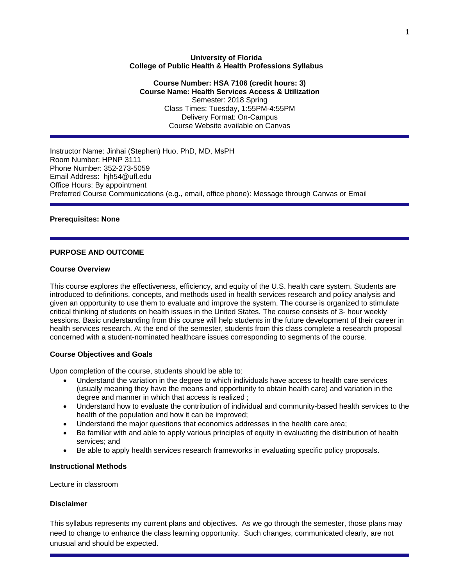### **University of Florida College of Public Health & Health Professions Syllabus**

## **Course Number: HSA 7106 (credit hours: 3) Course Name: Health Services Access & Utilization**  Semester: 2018 Spring Class Times: Tuesday, 1:55PM-4:55PM Delivery Format: On-Campus Course Website available on Canvas

Instructor Name: Jinhai (Stephen) Huo, PhD, MD, MsPH Room Number: HPNP 3111 Phone Number: 352-273-5059 Email Address: hjh54@ufl.edu Office Hours: By appointment Preferred Course Communications (e.g., email, office phone): Message through Canvas or Email

## **Prerequisites: None**

## **PURPOSE AND OUTCOME**

### **Course Overview**

This course explores the effectiveness, efficiency, and equity of the U.S. health care system. Students are introduced to definitions, concepts, and methods used in health services research and policy analysis and given an opportunity to use them to evaluate and improve the system. The course is organized to stimulate critical thinking of students on health issues in the United States. The course consists of 3- hour weekly sessions. Basic understanding from this course will help students in the future development of their career in health services research. At the end of the semester, students from this class complete a research proposal concerned with a student-nominated healthcare issues corresponding to segments of the course.

### **Course Objectives and Goals**

Upon completion of the course, students should be able to:

- Understand the variation in the degree to which individuals have access to health care services (usually meaning they have the means and opportunity to obtain health care) and variation in the degree and manner in which that access is realized ;
- Understand how to evaluate the contribution of individual and community-based health services to the health of the population and how it can be improved;
- Understand the major questions that economics addresses in the health care area;
- Be familiar with and able to apply various principles of equity in evaluating the distribution of health services; and
- Be able to apply health services research frameworks in evaluating specific policy proposals.

### **Instructional Methods**

Lecture in classroom

# **Disclaimer**

This syllabus represents my current plans and objectives. As we go through the semester, those plans may need to change to enhance the class learning opportunity. Such changes, communicated clearly, are not unusual and should be expected.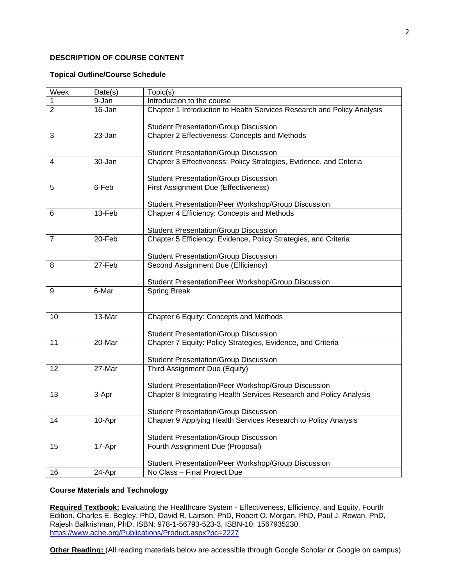## **DESCRIPTION OF COURSE CONTENT**

### **Topical Outline/Course Schedule**

| Week           | Date(s) | Topic(s)                                                                                    |  |  |  |  |  |  |
|----------------|---------|---------------------------------------------------------------------------------------------|--|--|--|--|--|--|
| 1              | 9-Jan   | Introduction to the course                                                                  |  |  |  |  |  |  |
| $\overline{2}$ | 16-Jan  | Chapter 1 Introduction to Health Services Research and Policy Analysis                      |  |  |  |  |  |  |
|                |         | <b>Student Presentation/Group Discussion</b>                                                |  |  |  |  |  |  |
| 3              | 23-Jan  | Chapter 2 Effectiveness: Concepts and Methods                                               |  |  |  |  |  |  |
|                |         |                                                                                             |  |  |  |  |  |  |
|                |         | <b>Student Presentation/Group Discussion</b>                                                |  |  |  |  |  |  |
| 4              | 30-Jan  | Chapter 3 Effectiveness: Policy Strategies, Evidence, and Criteria                          |  |  |  |  |  |  |
|                |         |                                                                                             |  |  |  |  |  |  |
| 5              | 6-Feb   | <b>Student Presentation/Group Discussion</b><br><b>First Assignment Due (Effectiveness)</b> |  |  |  |  |  |  |
|                |         |                                                                                             |  |  |  |  |  |  |
|                |         | Student Presentation/Peer Workshop/Group Discussion                                         |  |  |  |  |  |  |
| 6              | 13-Feb  | Chapter 4 Efficiency: Concepts and Methods                                                  |  |  |  |  |  |  |
|                |         |                                                                                             |  |  |  |  |  |  |
|                |         | <b>Student Presentation/Group Discussion</b>                                                |  |  |  |  |  |  |
| $\overline{7}$ | 20-Feb  | Chapter 5 Efficiency: Evidence, Policy Strategies, and Criteria                             |  |  |  |  |  |  |
|                |         |                                                                                             |  |  |  |  |  |  |
|                |         | <b>Student Presentation/Group Discussion</b>                                                |  |  |  |  |  |  |
| 8              | 27-Feb  | Second Assignment Due (Efficiency)                                                          |  |  |  |  |  |  |
|                |         | Student Presentation/Peer Workshop/Group Discussion                                         |  |  |  |  |  |  |
| 9              | 6-Mar   | <b>Spring Break</b>                                                                         |  |  |  |  |  |  |
|                |         |                                                                                             |  |  |  |  |  |  |
|                |         |                                                                                             |  |  |  |  |  |  |
| 10             | 13-Mar  | Chapter 6 Equity: Concepts and Methods                                                      |  |  |  |  |  |  |
|                |         |                                                                                             |  |  |  |  |  |  |
|                |         | <b>Student Presentation/Group Discussion</b>                                                |  |  |  |  |  |  |
| 11             | 20-Mar  | Chapter 7 Equity: Policy Strategies, Evidence, and Criteria                                 |  |  |  |  |  |  |
|                |         | <b>Student Presentation/Group Discussion</b>                                                |  |  |  |  |  |  |
| 12             | 27-Mar  | Third Assignment Due (Equity)                                                               |  |  |  |  |  |  |
|                |         |                                                                                             |  |  |  |  |  |  |
|                |         | Student Presentation/Peer Workshop/Group Discussion                                         |  |  |  |  |  |  |
| 13             | 3-Apr   | Chapter 8 Integrating Health Services Research and Policy Analysis                          |  |  |  |  |  |  |
|                |         |                                                                                             |  |  |  |  |  |  |
|                |         | <b>Student Presentation/Group Discussion</b>                                                |  |  |  |  |  |  |
| 14             | 10-Apr  | Chapter 9 Applying Health Services Research to Policy Analysis                              |  |  |  |  |  |  |
|                |         |                                                                                             |  |  |  |  |  |  |
|                |         | <b>Student Presentation/Group Discussion</b>                                                |  |  |  |  |  |  |
| 15             | 17-Apr  | Fourth Assignment Due (Proposal)                                                            |  |  |  |  |  |  |
|                |         | Student Presentation/Peer Workshop/Group Discussion                                         |  |  |  |  |  |  |
| 16             | 24-Apr  | No Class - Final Project Due                                                                |  |  |  |  |  |  |
|                |         |                                                                                             |  |  |  |  |  |  |

# **Course Materials and Technology**

**Required Textbook:** Evaluating the Healthcare System - Effectiveness, Efficiency, and Equity, Fourth Edition. Charles E. Begley, PhD, David R. Lairson, PhD, Robert O. Morgan, PhD, Paul J. Rowan, PhD, Rajesh Balkrishnan, PhD, ISBN: 978-1-56793-523-3, ISBN-10: 1567935230. https://www.ache.org/Publications/Product.aspx?pc=2227

**Other Reading:** (All reading materials below are accessible through Google Scholar or Google on campus)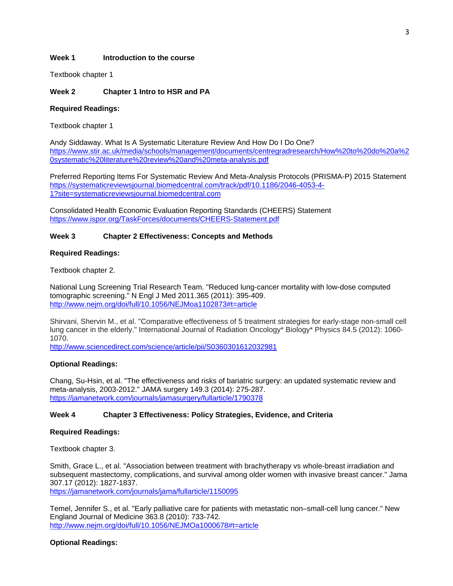### **Week 1 Introduction to the course**

Textbook chapter 1

# **Week 2 Chapter 1 Intro to HSR and PA**

### **Required Readings:**

Textbook chapter 1

Andy Siddaway. What Is A Systematic Literature Review And How Do I Do One? https://www.stir.ac.uk/media/schools/management/documents/centregradresearch/How%20to%20do%20a%2 0systematic%20literature%20review%20and%20meta-analysis.pdf

Preferred Reporting Items For Systematic Review And Meta-Analysis Protocols (PRISMA-P) 2015 Statement https://systematicreviewsjournal.biomedcentral.com/track/pdf/10.1186/2046-4053-4- 1?site=systematicreviewsjournal.biomedcentral.com

Consolidated Health Economic Evaluation Reporting Standards (CHEERS) Statement https://www.ispor.org/TaskForces/documents/CHEERS-Statement.pdf

### **Week 3 Chapter 2 Effectiveness: Concepts and Methods**

#### **Required Readings:**

Textbook chapter 2.

National Lung Screening Trial Research Team. "Reduced lung-cancer mortality with low-dose computed tomographic screening." N Engl J Med 2011.365 (2011): 395-409. http://www.nejm.org/doi/full/10.1056/NEJMoa1102873#t=article

Shirvani, Shervin M., et al. "Comparative effectiveness of 5 treatment strategies for early-stage non-small cell lung cancer in the elderly." International Journal of Radiation Oncology\* Biology\* Physics 84.5 (2012): 1060- 1070.

http://www.sciencedirect.com/science/article/pii/S0360301612032981

### **Optional Readings:**

Chang, Su-Hsin, et al. "The effectiveness and risks of bariatric surgery: an updated systematic review and meta-analysis, 2003-2012." JAMA surgery 149.3 (2014): 275-287. https://jamanetwork.com/journals/jamasurgery/fullarticle/1790378

### **Week 4 Chapter 3 Effectiveness: Policy Strategies, Evidence, and Criteria**

#### **Required Readings:**

Textbook chapter 3.

Smith, Grace L., et al. "Association between treatment with brachytherapy vs whole-breast irradiation and subsequent mastectomy, complications, and survival among older women with invasive breast cancer." Jama 307.17 (2012): 1827-1837.

https://jamanetwork.com/journals/jama/fullarticle/1150095

Temel, Jennifer S., et al. "Early palliative care for patients with metastatic non–small-cell lung cancer." New England Journal of Medicine 363.8 (2010): 733-742. http://www.nejm.org/doi/full/10.1056/NEJMOa1000678#t=article

### **Optional Readings:**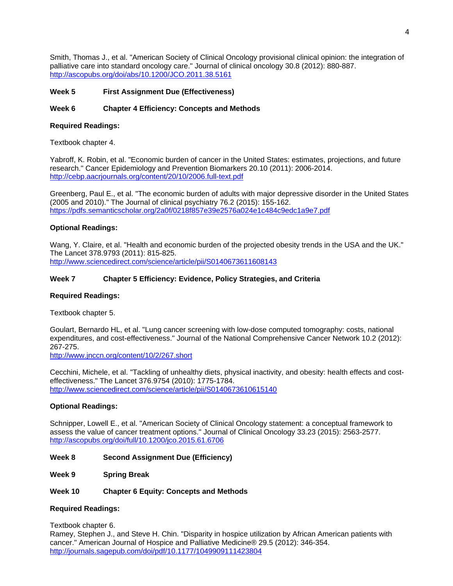Smith, Thomas J., et al. "American Society of Clinical Oncology provisional clinical opinion: the integration of palliative care into standard oncology care." Journal of clinical oncology 30.8 (2012): 880-887. http://ascopubs.org/doi/abs/10.1200/JCO.2011.38.5161

# **Week 5 First Assignment Due (Effectiveness)**

## **Week 6 Chapter 4 Efficiency: Concepts and Methods**

### **Required Readings:**

Textbook chapter 4.

Yabroff, K. Robin, et al. "Economic burden of cancer in the United States: estimates, projections, and future research." Cancer Epidemiology and Prevention Biomarkers 20.10 (2011): 2006-2014. http://cebp.aacrjournals.org/content/20/10/2006.full-text.pdf

Greenberg, Paul E., et al. "The economic burden of adults with major depressive disorder in the United States (2005 and 2010)." The Journal of clinical psychiatry 76.2 (2015): 155-162. https://pdfs.semanticscholar.org/2a0f/0218f857e39e2576a024e1c484c9edc1a9e7.pdf

## **Optional Readings:**

Wang, Y. Claire, et al. "Health and economic burden of the projected obesity trends in the USA and the UK." The Lancet 378.9793 (2011): 815-825.

http://www.sciencedirect.com/science/article/pii/S0140673611608143

## **Week 7 Chapter 5 Efficiency: Evidence, Policy Strategies, and Criteria**

### **Required Readings:**

Textbook chapter 5.

Goulart, Bernardo HL, et al. "Lung cancer screening with low-dose computed tomography: costs, national expenditures, and cost-effectiveness." Journal of the National Comprehensive Cancer Network 10.2 (2012): 267-275.

http://www.jnccn.org/content/10/2/267.short

Cecchini, Michele, et al. "Tackling of unhealthy diets, physical inactivity, and obesity: health effects and costeffectiveness." The Lancet 376.9754 (2010): 1775-1784. http://www.sciencedirect.com/science/article/pii/S0140673610615140

### **Optional Readings:**

Schnipper, Lowell E., et al. "American Society of Clinical Oncology statement: a conceptual framework to assess the value of cancer treatment options." Journal of Clinical Oncology 33.23 (2015): 2563-2577. http://ascopubs.org/doi/full/10.1200/jco.2015.61.6706

**Week 8 Second Assignment Due (Efficiency)** 

**Week 9 Spring Break** 

### **Week 10 Chapter 6 Equity: Concepts and Methods**

# **Required Readings:**

Textbook chapter 6. Ramey, Stephen J., and Steve H. Chin. "Disparity in hospice utilization by African American patients with cancer." American Journal of Hospice and Palliative Medicine® 29.5 (2012): 346-354. http://journals.sagepub.com/doi/pdf/10.1177/1049909111423804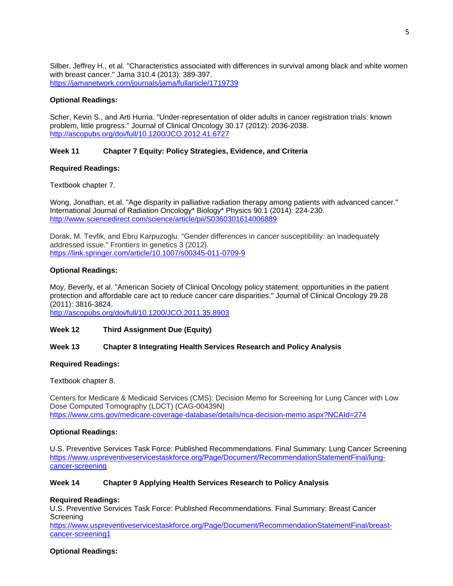Silber, Jeffrey H., et al. "Characteristics associated with differences in survival among black and white women with breast cancer." Jama 310.4 (2013): 389-397. https://jamanetwork.com/journals/jama/fullarticle/1719739

### **Optional Readings:**

Scher, Kevin S., and Arti Hurria. "Under-representation of older adults in cancer registration trials: known problem, little progress." Journal of Clinical Oncology 30.17 (2012): 2036-2038. http://ascopubs.org/doi/full/10.1200/JCO.2012.41.6727

# **Week 11 Chapter 7 Equity: Policy Strategies, Evidence, and Criteria**

# **Required Readings:**

Textbook chapter 7.

Wong, Jonathan, et al. "Age disparity in palliative radiation therapy among patients with advanced cancer." International Journal of Radiation Oncology\* Biology\* Physics 90.1 (2014): 224-230. http://www.sciencedirect.com/science/article/pii/S0360301614006889

Dorak, M. Tevfik, and Ebru Karpuzoglu. "Gender differences in cancer susceptibility: an inadequately addressed issue." Frontiers in genetics 3 (2012). https://link.springer.com/article/10.1007/s00345-011-0709-9

## **Optional Readings:**

Moy, Beverly, et al. "American Society of Clinical Oncology policy statement: opportunities in the patient protection and affordable care act to reduce cancer care disparities." Journal of Clinical Oncology 29.28 (2011): 3816-3824.

http://ascopubs.org/doi/full/10.1200/JCO.2011.35.8903

### **Week 12 Third Assignment Due (Equity)**

### **Week 13 Chapter 8 Integrating Health Services Research and Policy Analysis**

### **Required Readings:**

Textbook chapter 8.

Centers for Medicare & Medicaid Services (CMS): Decision Memo for Screening for Lung Cancer with Low Dose Computed Tomography (LDCT) (CAG-00439N) https://www.cms.gov/medicare-coverage-database/details/nca-decision-memo.aspx?NCAId=274

### **Optional Readings:**

U.S. Preventive Services Task Force: Published Recommendations. Final Summary: Lung Cancer Screening https://www.uspreventiveservicestaskforce.org/Page/Document/RecommendationStatementFinal/lungcancer-screening

### **Week 14 Chapter 9 Applying Health Services Research to Policy Analysis**

### **Required Readings:**

U.S. Preventive Services Task Force: Published Recommendations. Final Summary: Breast Cancer **Screening** 

https://www.uspreventiveservicestaskforce.org/Page/Document/RecommendationStatementFinal/breastcancer-screening1

### **Optional Readings:**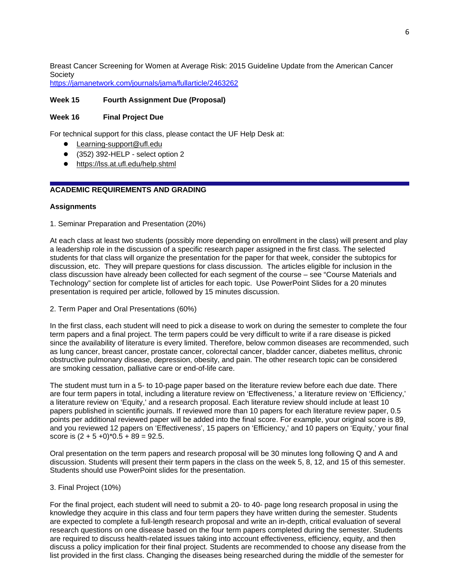Breast Cancer Screening for Women at Average Risk: 2015 Guideline Update from the American Cancer Society

https://jamanetwork.com/journals/jama/fullarticle/2463262

# **Week 15 Fourth Assignment Due (Proposal)**

# **Week 16 Final Project Due**

For technical support for this class, please contact the UF Help Desk at:

- Learning-support@ufl.edu
- (352) 392-HELP select option 2
- https://lss.at.ufl.edu/help.shtml

# **ACADEMIC REQUIREMENTS AND GRADING**

## **Assignments**

1. Seminar Preparation and Presentation (20%)

At each class at least two students (possibly more depending on enrollment in the class) will present and play a leadership role in the discussion of a specific research paper assigned in the first class. The selected students for that class will organize the presentation for the paper for that week, consider the subtopics for discussion, etc. They will prepare questions for class discussion. The articles eligible for inclusion in the class discussion have already been collected for each segment of the course – see "Course Materials and Technology" section for complete list of articles for each topic. Use PowerPoint Slides for a 20 minutes presentation is required per article, followed by 15 minutes discussion.

2. Term Paper and Oral Presentations (60%)

In the first class, each student will need to pick a disease to work on during the semester to complete the four term papers and a final project. The term papers could be very difficult to write if a rare disease is picked since the availability of literature is every limited. Therefore, below common diseases are recommended, such as lung cancer, breast cancer, prostate cancer, colorectal cancer, bladder cancer, diabetes mellitus, chronic obstructive pulmonary disease, depression, obesity, and pain. The other research topic can be considered are smoking cessation, palliative care or end-of-life care.

The student must turn in a 5- to 10-page paper based on the literature review before each due date. There are four term papers in total, including a literature review on 'Effectiveness,' a literature review on 'Efficiency,' a literature review on 'Equity,' and a research proposal. Each literature review should include at least 10 papers published in scientific journals. If reviewed more than 10 papers for each literature review paper, 0.5 points per additional reviewed paper will be added into the final score. For example, your original score is 89, and you reviewed 12 papers on 'Effectiveness', 15 papers on 'Efficiency,' and 10 papers on 'Equity,' your final score is  $(2 + 5 + 0)^*$ 0.5 + 89 = 92.5.

Oral presentation on the term papers and research proposal will be 30 minutes long following Q and A and discussion. Students will present their term papers in the class on the week 5, 8, 12, and 15 of this semester. Students should use PowerPoint slides for the presentation.

### 3. Final Project (10%)

For the final project, each student will need to submit a 20- to 40- page long research proposal in using the knowledge they acquire in this class and four term papers they have written during the semester. Students are expected to complete a full-length research proposal and write an in-depth, critical evaluation of several research questions on one disease based on the four term papers completed during the semester. Students are required to discuss health-related issues taking into account effectiveness, efficiency, equity, and then discuss a policy implication for their final project. Students are recommended to choose any disease from the list provided in the first class. Changing the diseases being researched during the middle of the semester for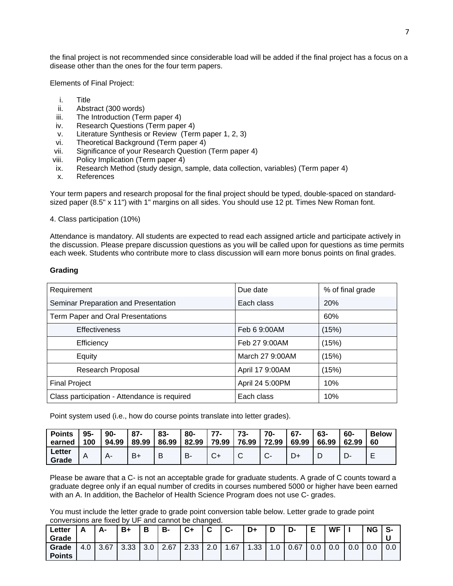the final project is not recommended since considerable load will be added if the final project has a focus on a disease other than the ones for the four term papers.

Elements of Final Project:

- i. Title
- ii. Abstract (300 words)
- iii. The Introduction (Term paper 4)
- iv. Research Questions (Term paper 4)
- v. Literature Synthesis or Review (Term paper 1, 2, 3)
- vi. Theoretical Background (Term paper 4)
- vii. Significance of your Research Question (Term paper 4)
- viii. Policy Implication (Term paper 4)
- ix. Research Method (study design, sample, data collection, variables) (Term paper 4)
- x. References

Your term papers and research proposal for the final project should be typed, double-spaced on standardsized paper (8.5" x 11") with 1" margins on all sides. You should use 12 pt. Times New Roman font.

4. Class participation (10%)

Attendance is mandatory. All students are expected to read each assigned article and participate actively in the discussion. Please prepare discussion questions as you will be called upon for questions as time permits each week. Students who contribute more to class discussion will earn more bonus points on final grades.

#### **Grading**

| Requirement                                  | Due date        | % of final grade |  |  |
|----------------------------------------------|-----------------|------------------|--|--|
| Seminar Preparation and Presentation         | Each class      | <b>20%</b>       |  |  |
| Term Paper and Oral Presentations            |                 | 60%              |  |  |
| <b>Effectiveness</b>                         | Feb 6 9:00AM    | (15%)            |  |  |
| Efficiency                                   | Feb 27 9:00AM   | (15%)            |  |  |
| Equity                                       | March 27 9:00AM | (15%)            |  |  |
| Research Proposal                            | April 17 9:00AM | (15%)            |  |  |
| <b>Final Project</b>                         | April 24 5:00PM | 10%              |  |  |
| Class participation - Attendance is required | Each class      | 10%              |  |  |

Point system used (i.e., how do course points translate into letter grades).

| <b>Points</b>   | $95 -$ | 90-   | $87 -$ | 83-   | 80-   | 77-   | 73-   | 70-               | $67 -$ | 63-   | 60-   | <b>Below</b> |
|-----------------|--------|-------|--------|-------|-------|-------|-------|-------------------|--------|-------|-------|--------------|
| earned          | 100    | 94.99 | 89.99  | 86.99 | 82.99 | 79.99 | 76.99 | 72.99             | 69.99  | 66.99 | 62.99 | 60           |
| Letter<br>Grade |        | А-    | $B+$   | B     | в.    | ∪+    |       | ⌒<br>$\mathbf{v}$ | ∽      | D     | −     | –            |

Please be aware that a C- is not an acceptable grade for graduate students. A grade of C counts toward a graduate degree only if an equal number of credits in courses numbered 5000 or higher have been earned with an A. In addition, the Bachelor of Health Science Program does not use C- grades.

You must include the letter grade to grade point conversion table below. Letter grade to grade point conversions are fixed by UF and cannot be changed.

| Letter<br>Grade        | ́г  | А-   | $B+$ |                 | в-   | $C+$           | $\ddot{\phantom{1}}$<br>u | ◠<br>v   | D+  |                               | D-   | E   | <b>WF</b> |     | <b>NG</b> | S-<br>u |
|------------------------|-----|------|------|-----------------|------|----------------|---------------------------|----------|-----|-------------------------------|------|-----|-----------|-----|-----------|---------|
| Grade<br><b>Points</b> | 4.0 | 3.67 | 3.33 | $\Omega$<br>J.U | 2.67 | 2.33<br>$\sim$ | z.u                       | .67<br>٠ | .33 | $\sim$<br>$\cdot \cdot \cdot$ | 0.67 | 0.0 | v.v       | 0.0 | 0.0       | 0.0     |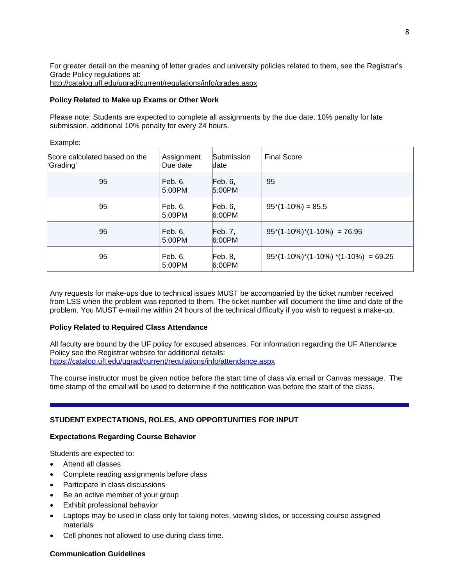For greater detail on the meaning of letter grades and university policies related to them, see the Registrar's Grade Policy regulations at: http://catalog.ufl.edu/ugrad/current/regulations/info/grades.aspx

### **Policy Related to Make up Exams or Other Work**

Example:

Please note: Students are expected to complete all assignments by the due date. 10% penalty for late submission, additional 10% penalty for every 24 hours.

| LAQUIPIC.                                  |                        |                           |                                         |  |  |  |  |
|--------------------------------------------|------------------------|---------------------------|-----------------------------------------|--|--|--|--|
| Score calculated based on the<br>'Grading' | Assignment<br>Due date | <b>Submission</b><br>date | <b>Final Score</b>                      |  |  |  |  |
| 95                                         | Feb. 6,<br>5:00PM      | Feb. 6<br>5:00PM          | 95                                      |  |  |  |  |
| 95                                         | Feb. 6,<br>5:00PM      | Feb. 6<br>6:00PM          | $95*(1-10\%) = 85.5$                    |  |  |  |  |
| 95                                         | Feb. 6,<br>5:00PM      | Feb. 7,<br>6:00PM         | $95*(1-10\%)*(1-10\%) = 76.95$          |  |  |  |  |
| 95                                         | Feb. 6,<br>5:00PM      | <b>Feb. 8,</b><br>6:00PM  | $95*(1-10\%)*(1-10\%)*(1-10\%) = 69.25$ |  |  |  |  |

Any requests for make-ups due to technical issues MUST be accompanied by the ticket number received from LSS when the problem was reported to them. The ticket number will document the time and date of the problem. You MUST e-mail me within 24 hours of the technical difficulty if you wish to request a make-up.

### **Policy Related to Required Class Attendance**

All faculty are bound by the UF policy for excused absences. For information regarding the UF Attendance Policy see the Registrar website for additional details: https://catalog.ufl.edu/ugrad/current/regulations/info/attendance.aspx

The course instructor must be given notice before the start time of class via email or Canvas message. The time stamp of the email will be used to determine if the notification was before the start of the class.

### **STUDENT EXPECTATIONS, ROLES, AND OPPORTUNITIES FOR INPUT**

### **Expectations Regarding Course Behavior**

Students are expected to:

- Attend all classes
- Complete reading assignments before class
- Participate in class discussions
- Be an active member of your group
- Exhibit professional behavior
- Laptops may be used in class only for taking notes, viewing slides, or accessing course assigned materials
- Cell phones not allowed to use during class time.

### **Communication Guidelines**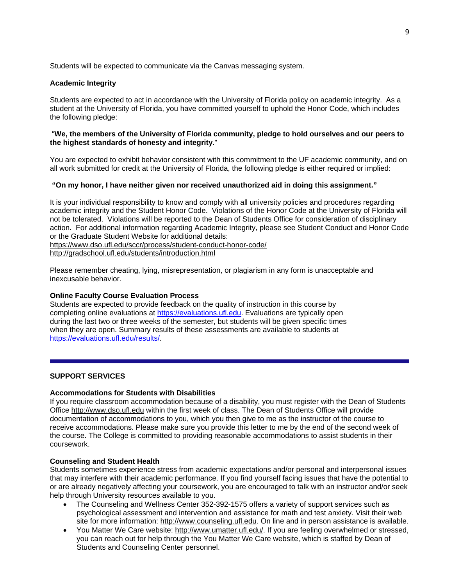Students will be expected to communicate via the Canvas messaging system.

#### **Academic Integrity**

Students are expected to act in accordance with the University of Florida policy on academic integrity. As a student at the University of Florida, you have committed yourself to uphold the Honor Code, which includes the following pledge:

### "**We, the members of the University of Florida community, pledge to hold ourselves and our peers to the highest standards of honesty and integrity**."

You are expected to exhibit behavior consistent with this commitment to the UF academic community, and on all work submitted for credit at the University of Florida, the following pledge is either required or implied:

#### **"On my honor, I have neither given nor received unauthorized aid in doing this assignment."**

It is your individual responsibility to know and comply with all university policies and procedures regarding academic integrity and the Student Honor Code. Violations of the Honor Code at the University of Florida will not be tolerated. Violations will be reported to the Dean of Students Office for consideration of disciplinary action. For additional information regarding Academic Integrity, please see Student Conduct and Honor Code or the Graduate Student Website for additional details: https://www.dso.ufl.edu/sccr/process/student-conduct-honor-code/

http://gradschool.ufl.edu/students/introduction.html

Please remember cheating, lying, misrepresentation, or plagiarism in any form is unacceptable and inexcusable behavior.

#### **Online Faculty Course Evaluation Process**

Students are expected to provide feedback on the quality of instruction in this course by completing online evaluations at https://evaluations.ufl.edu. Evaluations are typically open during the last two or three weeks of the semester, but students will be given specific times when they are open. Summary results of these assessments are available to students at https://evaluations.ufl.edu/results/.

### **SUPPORT SERVICES**

#### **Accommodations for Students with Disabilities**

If you require classroom accommodation because of a disability, you must register with the Dean of Students Office http://www.dso.ufl.edu within the first week of class. The Dean of Students Office will provide documentation of accommodations to you, which you then give to me as the instructor of the course to receive accommodations. Please make sure you provide this letter to me by the end of the second week of the course. The College is committed to providing reasonable accommodations to assist students in their coursework.

#### **Counseling and Student Health**

Students sometimes experience stress from academic expectations and/or personal and interpersonal issues that may interfere with their academic performance. If you find yourself facing issues that have the potential to or are already negatively affecting your coursework, you are encouraged to talk with an instructor and/or seek help through University resources available to you.

- The Counseling and Wellness Center 352-392-1575 offers a variety of support services such as psychological assessment and intervention and assistance for math and test anxiety. Visit their web site for more information: http://www.counseling.ufl.edu. On line and in person assistance is available.
- You Matter We Care website: http://www.umatter.ufl.edu/. If you are feeling overwhelmed or stressed, you can reach out for help through the You Matter We Care website, which is staffed by Dean of Students and Counseling Center personnel.